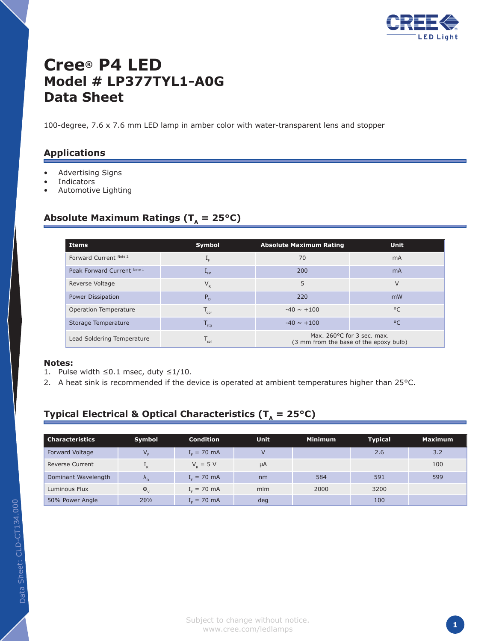

# **Cree® P4 LED Model # LP377TYL1-A0G Data Sheet**

100-degree, 7.6 x 7.6 mm LED lamp in amber color with water-transparent lens and stopper

### **Applications**

- Advertising Signs •
- Indicators •
- Automotive Lighting •

### Absolute Maximum Ratings ( $T_a = 25^{\circ}C$ )

| Items                       | Symbol                      | <b>Absolute Maximum Rating</b>                                       | <b>Unit</b>    |
|-----------------------------|-----------------------------|----------------------------------------------------------------------|----------------|
| Forward Current Note 2      | $\mathbf{I}_{F}$            | 70                                                                   | m <sub>A</sub> |
| Peak Forward Current Note 1 | $L_{FP}$                    | 200                                                                  | <b>mA</b>      |
| Reverse Voltage             | $V_{R}$                     | 5                                                                    | V              |
| <b>Power Dissipation</b>    | P <sub>D</sub>              | 220                                                                  | mW             |
| Operation Temperature       | $T_{\text{opt}}$            | $-40 \sim +100$                                                      | $^{\circ}$     |
| Storage Temperature         | $T_{\text{stg}}$            | $-40 \sim +100$                                                      | $^{\circ}$ C   |
| Lead Soldering Temperature  | $\mathsf{T}_{\mathsf{sol}}$ | Max. 260°C for 3 sec. max.<br>(3 mm from the base of the epoxy bulb) |                |

#### **Notes:**

- 1. Pulse width ≤0.1 msec, duty  $≤1/10$ .
- 2. A heat sink is recommended if the device is operated at ambient temperatures higher than  $25^{\circ}$ C.

## **Typical Electrical & Optical Characteristics (** $T_a = 25^{\circ}C$ **)**

| <b>Characteristics</b> | Symbol               | <b>Condition</b> | <b>Unit</b> | <b>Minimum</b> | <b>Typical</b> | <b>Maximum</b> |
|------------------------|----------------------|------------------|-------------|----------------|----------------|----------------|
| Forward Voltage        | V <sub>F</sub>       | $I_{F} = 70$ mA  |             |                | 2.6            | 3.2            |
| <b>Reverse Current</b> | $+$ <sub>R</sub>     | $V_{p} = 5 V$    | μA          |                |                | 100            |
| Dominant Wavelength    | $\Lambda_{\rm D}$    | $I_c = 70$ mA    | nm          | 584            | 591            | 599            |
| Luminous Flux          | $\Phi_{V}$           | $I_c = 70$ mA    | mlm         | 2000           | 3200           |                |
| 50% Power Angle        | $2\theta\frac{1}{2}$ | $Ir = 70$ mA     | deg         |                | 100            |                |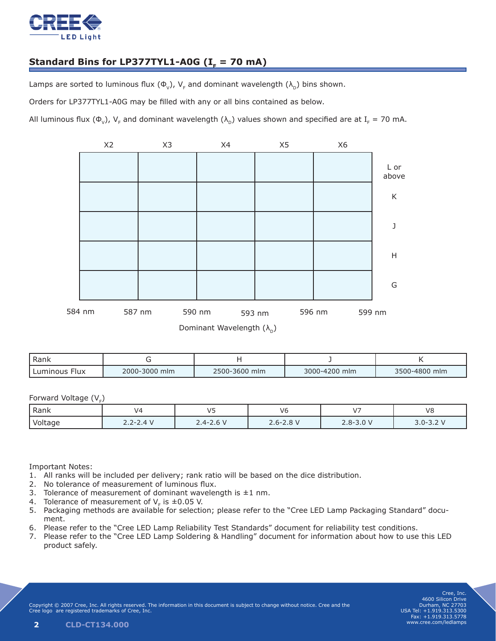

## Standard Bins for LP377TYL1-A0G  $(I<sub>F</sub> = 70$  mA)

Lamps are sorted to luminous flux ( $\Phi_{v}$ ), V<sub>F</sub> and dominant wavelength ( $\lambda_{\rm D}$ ) bins shown.

Orders for LP377TYL1-A0G may be filled with any or all bins contained as below.

All luminous flux ( $\Phi_{V}$ ), V<sub>F</sub> and dominant wavelength ( $\lambda_{D}$ ) values shown and specified are at I<sub>F</sub> = 70 mA.



| Rank                    |               |               |               |               |
|-------------------------|---------------|---------------|---------------|---------------|
| Luminous<br><b>Flux</b> | 2000-3000 mlm | 2500-3600 mlm | 3000-4200 mlm | 3500-4800 mlm |

#### Forward Voltage  $(V_F)$

| ' Rank  | JZ.         |             | V6                      | $\overline{\phantom{a}}$ | V٤          |
|---------|-------------|-------------|-------------------------|--------------------------|-------------|
| Voltage | 4V<br>_ . _ | $2.4 - 2.6$ | $\Omega$<br>$2.6 - 2.8$ | $2.8 - 3.0 V$            | $3.0 - 3.2$ |

Important Notes:

- All ranks will be included per delivery; rank ratio will be based on the dice distribution. 1.
- 2. No tolerance of measurement of luminous flux.
- 3. Tolerance of measurement of dominant wavelength is  $\pm 1$  nm.
- 4. Tolerance of measurement of  $V_F$  is  $\pm 0.05$  V.
- 5. Packaging methods are available for selection; please refer to the "Cree LED Lamp Packaging Standard" document.
- 6. Please refer to the "Cree LED Lamp Reliability Test Standards" document for reliability test conditions.
- 7. Please refer to the "Cree LED Lamp Soldering & Handling" document for information about how to use this LED product safely.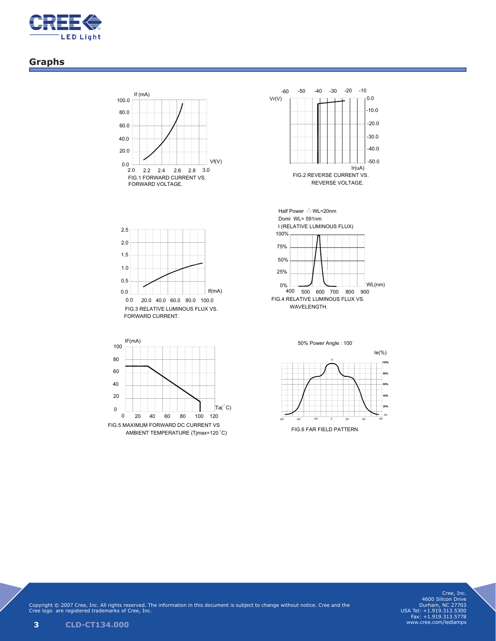

## **Graphs**





FIG.3 RELATIVE LUMINOUS FLUX VS. FORWARD CURRENT. 0.0 20.0 40.0 60.0 80.0 100.0 0.0 0.5 If(mA) 2.0 1.0 1.5 2.5





-30 -90 -60 0 30 60 9 0% 20% 40% 50% Power Angle : 100 0 0 80% 60% 100% Ie(%)

FIG.6 FAR FIELD PATTERN

Cree, Inc. 4600 Silicon Drive Durham, NC 27703 USA Tel: +1.919.313.5300 Fax: +1.919.313.5778 www.cree.com/ledlamps

Copyright © 2007 Cree, Inc. All rights reserved. The information in this document is subject to change without notice. Cree and the Cree logo are registered trademarks of Cree, Inc. 4/4 COTCO-D-074 REV.1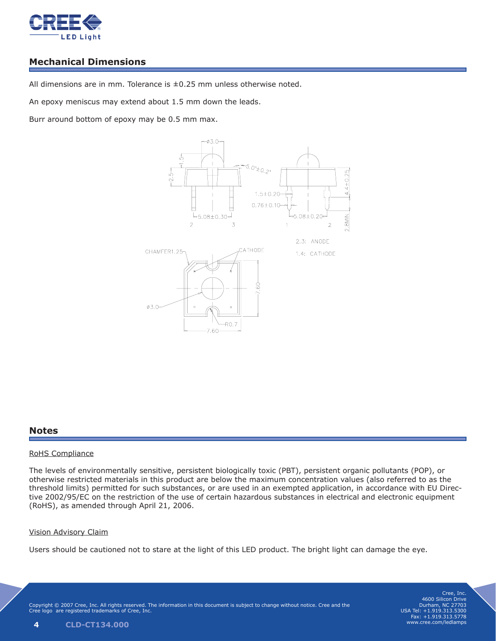

## **Mechanical Dimensions**

All dimensions are in mm. Tolerance is  $\pm 0.25$  mm unless otherwise noted.

An epoxy meniscus may extend about 1.5 mm down the leads.

Burr around bottom of epoxy may be 0.5 mm max. **Applications: Dimension Drawing**



Model No. LP377TYL1-A0G

## **Notes**

#### RoHS Compliance (3mm from the base of the epoxy bulb)

The levels of environmentally sensitive, persistent biologically toxic (PBT), persistent organic pollutants (POP), or otherwise restricted materials in this product are below the maximum concentration values (also referred to as the threshold limits) permitted for such substances, or are used in an exempted application, in accordance with EU Directhreshold limits) permitted for such substances, or are used in an exempted application, in accordance with EO Direc<br>tive 2002/95/EC on the restriction of the use of certain hazardous substances in electrical and electroni (RoHS), as amended through April 21, 2006.

#### Vision Advisory Claim

Users should be cautioned not to stare at the light of this LED product. The bright light can damage the eye.  $Users$  shoul

Copyright © 2007 Cree, Inc. All rights reserved. The information in this document is subject to change without notice. Cree and the Cree logo are registered trademarks of Cree, Inc. Cree logo are registered trademarks of Cree, Inc.

Cree, Inc. 4600 Silicon Drive Durham, NC 27703 USA Tel: +1.919.313.5300 Fax: +1.919.313.5778 www.cree.com/ledlamps